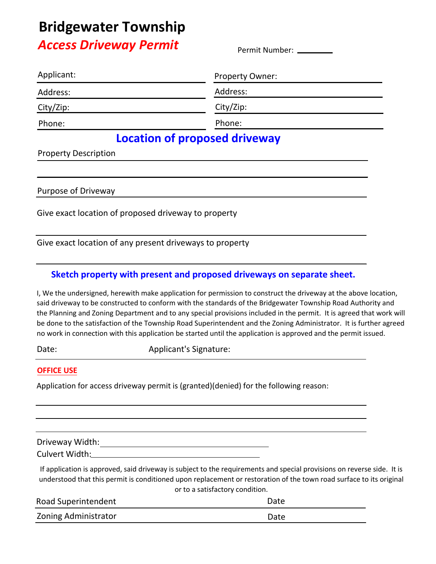# **Bridgewater Township**

### *Access Driveway Permit*

Permit Number:

| Applicant: | <b>Property Owner:</b> |
|------------|------------------------|
| Address:   | Address:               |
| City/Zip:  | City/Zip:              |
| Phone:     | Phone:                 |
|            | $\sim$<br>.            |

### **Location of proposed driveway**

Property Description

Purpose of Driveway and the state of  $\mathsf{P}$ 

Give exact location of proposed driveway to property

Give exact location of any present driveways to property

#### **Sketch property with present and proposed driveways on separate sheet.**

I, We the undersigned, herewith make application for permission to construct the driveway at the above location, said driveway to be constructed to conform with the standards of the Bridgewater Township Road Authority and the Planning and Zoning Department and to any special provisions included in the permit. It is agreed that work will be done to the satisfaction of the Township Road Superintendent and the Zoning Administrator. It is further agreed no work in connection with this application be started until the application is approved and the permit issued.

Date: **Applicant's Signature:** 

#### **OFFICE USE**

Application for access driveway permit is (granted)(denied) for the following reason:

Driveway Width:

Culvert Width:

If application is approved, said driveway is subject to the requirements and special provisions on reverse side. It is understood that this permit is conditioned upon replacement or restoration of the town road surface to its original or to a satisfactory condition.

| Road Superintendent  | Date |
|----------------------|------|
| Zoning Administrator | Date |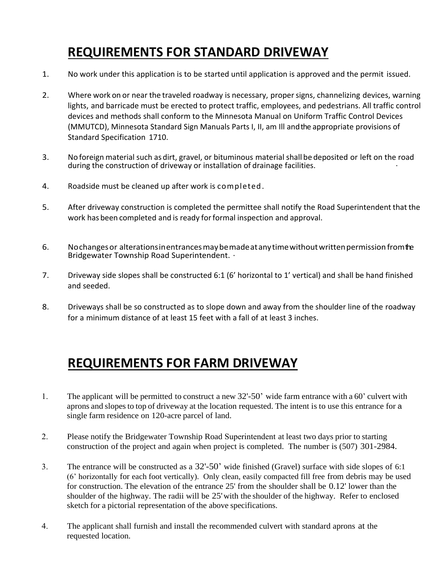# **REQUIREMENTS FOR STANDARD DRIVEWAY**

- 1. No work under this application is to be started until application is approved and the permit issued.
- 2. Where work on or near the traveled roadway is necessary, proper signs, channelizing devices, warning lights, and barricade must be erected to protect traffic, employees, and pedestrians. All traffic control devices and methods shall conform to the Minnesota Manual on Uniform Traffic Control Devices (MMUTCD), Minnesota Standard Sign Manuals Parts I, II, am Ill and the appropriate provisions of Standard Specification 1710.
- 3. No foreign material such as dirt, gravel, or bituminous material shall be deposited or left on the road during the construction of driveway or installation of drainage facilities.
- 4. Roadside must be cleaned up after work is completed.
- 5. After driveway construction is completed the permittee shall notify the Road Superintendent that the work has been completed and is ready for formal inspection and approval.
- 6. Nochanges or alterations in entrances may be made at any time without written permission from the Bridgewater Township Road Superintendent. ·
- 7. Driveway side slopes shall be constructed 6:1 (6' horizontal to 1' vertical) and shall be hand finished and seeded.
- 8. Driveways shall be so constructed as to slope down and away from the shoulder line of the roadway for a minimum distance of at least 15 feet with a fall of at least 3 inches.

### **REQUIREMENTS FOR FARM DRIVEWAY**

- 1. The applicant will be permitted to construct a new 32'-50' wide farm entrance with a 60' culvert with aprons and slopes to top of driveway at the location requested. The intent is to use this entrance for a single farm residence on 120-acre parcel of land.
- 2. Please notify the Bridgewater Township Road Superintendent at least two days prior to starting construction of the project and again when project is completed. The number is (507) 301-2984.
- 3. The entrance will be constructed as a 32'-50' wide finished (Gravel) surface with side slopes of 6:1 (6' horizontally for each foot vertically). Only clean, easily compacted fill free from debris may be used for construction. The elevation of the entrance 25' from the shoulder shall be 0.12' lower than the shoulder of the highway. The radii will be 25'with the shoulder of the highway. Refer to enclosed sketch for a pictorial representation of the above specifications.
- 4. The applicant shall furnish and install the recommended culvert with standard aprons at the requested location.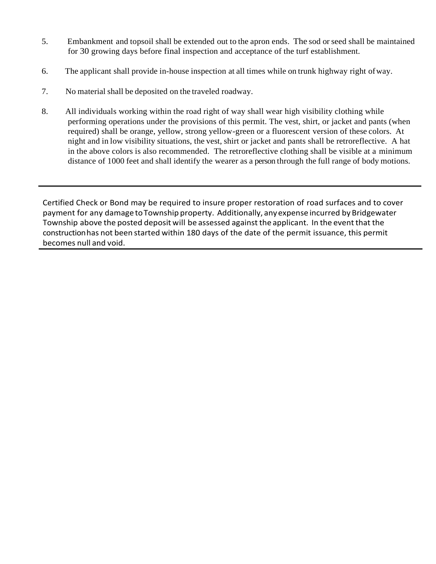- 5. Embankment and topsoil shall be extended out to the apron ends. The sod or seed shall be maintained for 30 growing days before final inspection and acceptance of the turf establishment.
- 6. The applicant shall provide in-house inspection at all times while on trunk highway right ofway.
- 7. No material shall be deposited on the traveled roadway.
- 8. All individuals working within the road right of way shall wear high visibility clothing while performing operations under the provisions of this permit. The vest, shirt, or jacket and pants (when required) shall be orange, yellow, strong yellow-green or a fluorescent version of these colors. At night and in low visibility situations, the vest, shirt or jacket and pants shall be retroreflective. A hat in the above colors is also recommended. The retroreflective clothing shall be visible at a minimum distance of 1000 feet and shall identify the wearer as a person through the full range of body motions.

Certified Check or Bond may be required to insure proper restoration of road surfaces and to cover payment for any damage to Township property. Additionally, any expense incurred by Bridgewater Township above the posted deposit will be assessed against the applicant. In the event that the constructionhas not been started within 180 days of the date of the permit issuance, this permit becomes null and void.